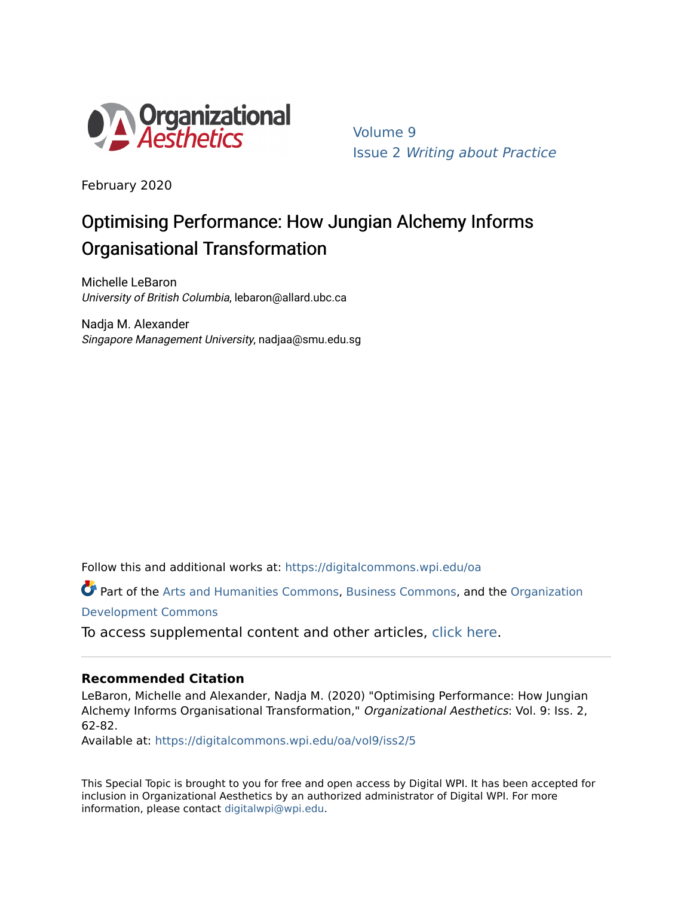

[Volume 9](https://digitalcommons.wpi.edu/oa/vol9)  Issue 2 [Writing about Practice](https://digitalcommons.wpi.edu/oa/vol9/iss2)

February 2020

# Optimising Performance: How Jungian Alchemy Informs Organisational Transformation

Michelle LeBaron University of British Columbia, lebaron@allard.ubc.ca

Nadja M. Alexander Singapore Management University, nadjaa@smu.edu.sg

Follow this and additional works at: [https://digitalcommons.wpi.edu/oa](https://digitalcommons.wpi.edu/oa?utm_source=digitalcommons.wpi.edu%2Foa%2Fvol9%2Fiss2%2F5&utm_medium=PDF&utm_campaign=PDFCoverPages) 

Part of the [Arts and Humanities Commons,](http://network.bepress.com/hgg/discipline/438?utm_source=digitalcommons.wpi.edu%2Foa%2Fvol9%2Fiss2%2F5&utm_medium=PDF&utm_campaign=PDFCoverPages) [Business Commons](http://network.bepress.com/hgg/discipline/622?utm_source=digitalcommons.wpi.edu%2Foa%2Fvol9%2Fiss2%2F5&utm_medium=PDF&utm_campaign=PDFCoverPages), and the [Organization](http://network.bepress.com/hgg/discipline/1242?utm_source=digitalcommons.wpi.edu%2Foa%2Fvol9%2Fiss2%2F5&utm_medium=PDF&utm_campaign=PDFCoverPages) [Development Commons](http://network.bepress.com/hgg/discipline/1242?utm_source=digitalcommons.wpi.edu%2Foa%2Fvol9%2Fiss2%2F5&utm_medium=PDF&utm_campaign=PDFCoverPages) 

To access supplemental content and other articles, [click here.](https://digitalcommons.wpi.edu/oa/vol9/iss2/5)

## **Recommended Citation**

LeBaron, Michelle and Alexander, Nadja M. (2020) "Optimising Performance: How Jungian Alchemy Informs Organisational Transformation," Organizational Aesthetics: Vol. 9: Iss. 2, 62-82.

Available at: [https://digitalcommons.wpi.edu/oa/vol9/iss2/5](https://digitalcommons.wpi.edu/oa/vol9/iss2/5?utm_source=digitalcommons.wpi.edu%2Foa%2Fvol9%2Fiss2%2F5&utm_medium=PDF&utm_campaign=PDFCoverPages) 

This Special Topic is brought to you for free and open access by Digital WPI. It has been accepted for inclusion in Organizational Aesthetics by an authorized administrator of Digital WPI. For more information, please contact [digitalwpi@wpi.edu](mailto:digitalwpi@wpi.edu).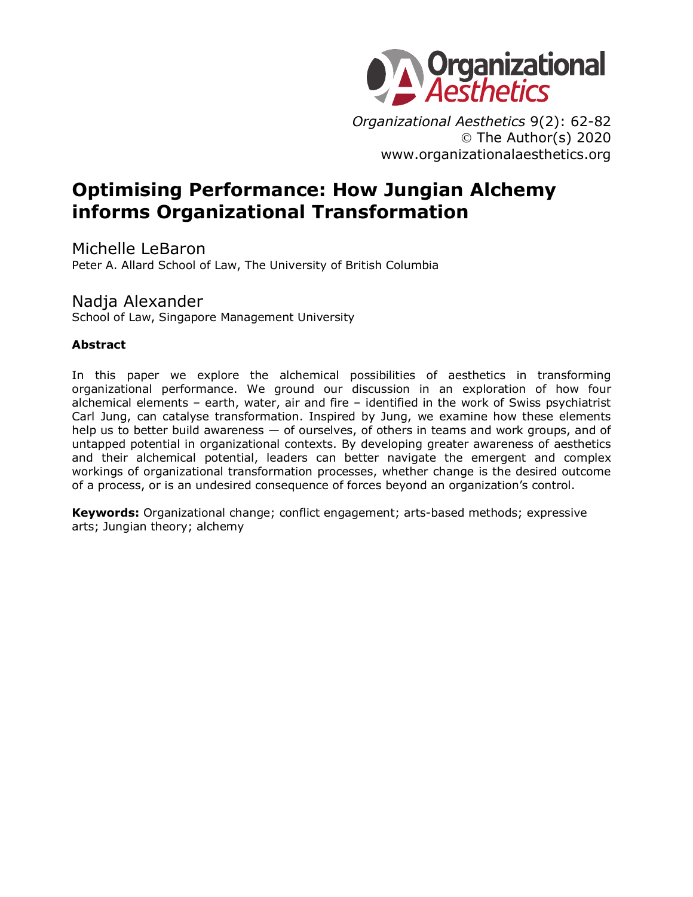

*Organizational Aesthetics* 9(2): 62-82 Ó The Author(s) 2020 www.organizationalaesthetics.org

# **Optimising Performance: How Jungian Alchemy informs Organizational Transformation**

Michelle LeBaron Peter A. Allard School of Law, The University of British Columbia

## Nadja Alexander

School of Law, Singapore Management University

## **Abstract**

In this paper we explore the alchemical possibilities of aesthetics in transforming organizational performance. We ground our discussion in an exploration of how four alchemical elements – earth, water, air and fire – identified in the work of Swiss psychiatrist Carl Jung, can catalyse transformation. Inspired by Jung, we examine how these elements help us to better build awareness - of ourselves, of others in teams and work groups, and of untapped potential in organizational contexts. By developing greater awareness of aesthetics and their alchemical potential, leaders can better navigate the emergent and complex workings of organizational transformation processes, whether change is the desired outcome of a process, or is an undesired consequence of forces beyond an organization's control.

**Keywords:** Organizational change; conflict engagement; arts-based methods; expressive arts; Jungian theory; alchemy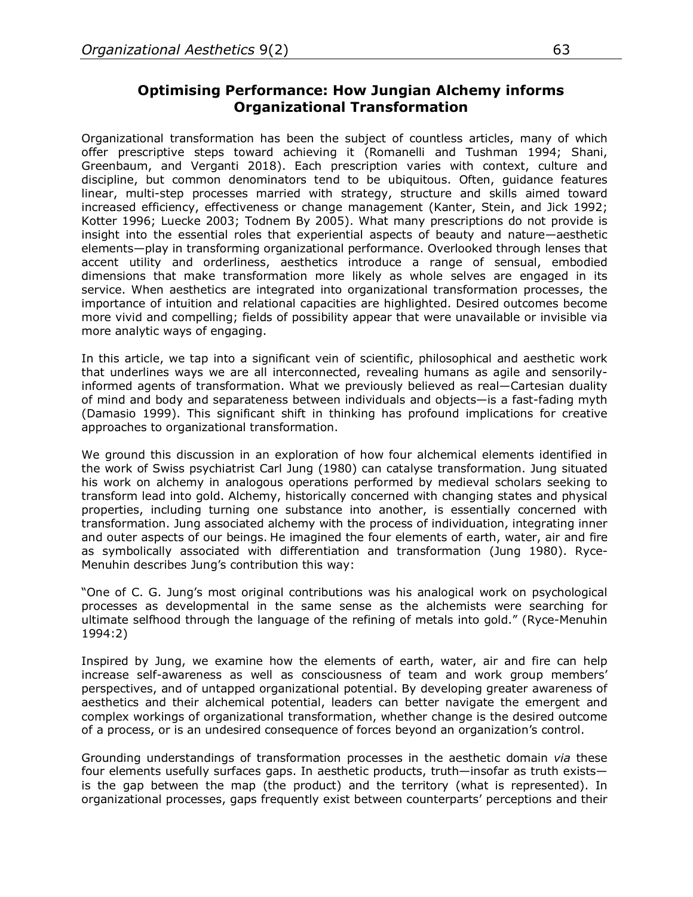## **Optimising Performance: How Jungian Alchemy informs Organizational Transformation**

Organizational transformation has been the subject of countless articles, many of which offer prescriptive steps toward achieving it (Romanelli and Tushman 1994; Shani, Greenbaum, and Verganti 2018). Each prescription varies with context, culture and discipline, but common denominators tend to be ubiquitous. Often, guidance features linear, multi-step processes married with strategy, structure and skills aimed toward increased efficiency, effectiveness or change management (Kanter, Stein, and Jick 1992; Kotter 1996; Luecke 2003; Todnem By 2005). What many prescriptions do not provide is insight into the essential roles that experiential aspects of beauty and nature—aesthetic elements—play in transforming organizational performance. Overlooked through lenses that accent utility and orderliness, aesthetics introduce a range of sensual, embodied dimensions that make transformation more likely as whole selves are engaged in its service. When aesthetics are integrated into organizational transformation processes, the importance of intuition and relational capacities are highlighted. Desired outcomes become more vivid and compelling; fields of possibility appear that were unavailable or invisible via more analytic ways of engaging.

In this article, we tap into a significant vein of scientific, philosophical and aesthetic work that underlines ways we are all interconnected, revealing humans as agile and sensorilyinformed agents of transformation. What we previously believed as real—Cartesian duality of mind and body and separateness between individuals and objects—is a fast-fading myth (Damasio 1999). This significant shift in thinking has profound implications for creative approaches to organizational transformation.

We ground this discussion in an exploration of how four alchemical elements identified in the work of Swiss psychiatrist Carl Jung (1980) can catalyse transformation. Jung situated his work on alchemy in analogous operations performed by medieval scholars seeking to transform lead into gold. Alchemy, historically concerned with changing states and physical properties, including turning one substance into another, is essentially concerned with transformation. Jung associated alchemy with the process of individuation, integrating inner and outer aspects of our beings. He imagined the four elements of earth, water, air and fire as symbolically associated with differentiation and transformation (Jung 1980). Ryce-Menuhin describes Jung's contribution this way:

"One of C. G. Jung's most original contributions was his analogical work on psychological processes as developmental in the same sense as the alchemists were searching for ultimate selfhood through the language of the refining of metals into gold." (Ryce-Menuhin 1994:2)

Inspired by Jung, we examine how the elements of earth, water, air and fire can help increase self-awareness as well as consciousness of team and work group members' perspectives, and of untapped organizational potential. By developing greater awareness of aesthetics and their alchemical potential, leaders can better navigate the emergent and complex workings of organizational transformation, whether change is the desired outcome of a process, or is an undesired consequence of forces beyond an organization's control.

Grounding understandings of transformation processes in the aesthetic domain *via* these four elements usefully surfaces gaps. In aesthetic products, truth—insofar as truth exists is the gap between the map (the product) and the territory (what is represented). In organizational processes, gaps frequently exist between counterparts' perceptions and their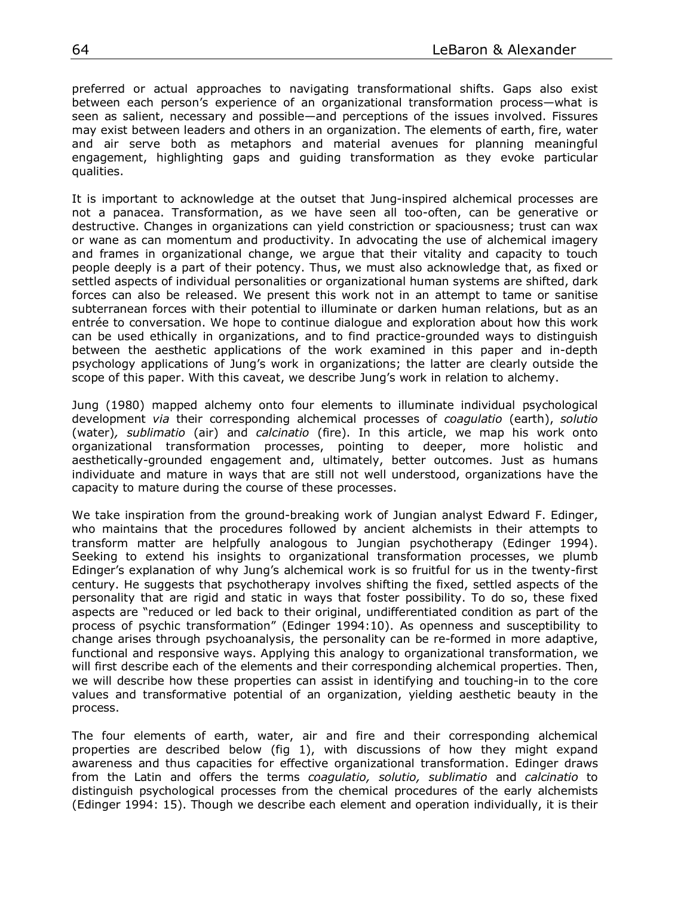preferred or actual approaches to navigating transformational shifts. Gaps also exist between each person's experience of an organizational transformation process—what is seen as salient, necessary and possible—and perceptions of the issues involved. Fissures may exist between leaders and others in an organization. The elements of earth, fire, water and air serve both as metaphors and material avenues for planning meaningful engagement, highlighting gaps and guiding transformation as they evoke particular qualities.

It is important to acknowledge at the outset that Jung-inspired alchemical processes are not a panacea. Transformation, as we have seen all too-often, can be generative or destructive. Changes in organizations can yield constriction or spaciousness; trust can wax or wane as can momentum and productivity. In advocating the use of alchemical imagery and frames in organizational change, we argue that their vitality and capacity to touch people deeply is a part of their potency. Thus, we must also acknowledge that, as fixed or settled aspects of individual personalities or organizational human systems are shifted, dark forces can also be released. We present this work not in an attempt to tame or sanitise subterranean forces with their potential to illuminate or darken human relations, but as an entrée to conversation. We hope to continue dialogue and exploration about how this work can be used ethically in organizations, and to find practice-grounded ways to distinguish between the aesthetic applications of the work examined in this paper and in-depth psychology applications of Jung's work in organizations; the latter are clearly outside the scope of this paper. With this caveat, we describe Jung's work in relation to alchemy.

Jung (1980) mapped alchemy onto four elements to illuminate individual psychological development *via* their corresponding alchemical processes of *coagulatio* (earth), *solutio* (water)*, sublimatio* (air) and *calcinatio* (fire). In this article, we map his work onto organizational transformation processes, pointing to deeper, more holistic and aesthetically-grounded engagement and, ultimately, better outcomes. Just as humans individuate and mature in ways that are still not well understood, organizations have the capacity to mature during the course of these processes.

We take inspiration from the ground-breaking work of Jungian analyst Edward F. Edinger, who maintains that the procedures followed by ancient alchemists in their attempts to transform matter are helpfully analogous to Jungian psychotherapy (Edinger 1994). Seeking to extend his insights to organizational transformation processes, we plumb Edinger's explanation of why Jung's alchemical work is so fruitful for us in the twenty-first century. He suggests that psychotherapy involves shifting the fixed, settled aspects of the personality that are rigid and static in ways that foster possibility. To do so, these fixed aspects are "reduced or led back to their original, undifferentiated condition as part of the process of psychic transformation" (Edinger 1994:10). As openness and susceptibility to change arises through psychoanalysis, the personality can be re-formed in more adaptive, functional and responsive ways. Applying this analogy to organizational transformation, we will first describe each of the elements and their corresponding alchemical properties. Then, we will describe how these properties can assist in identifying and touching-in to the core values and transformative potential of an organization, yielding aesthetic beauty in the process.

The four elements of earth, water, air and fire and their corresponding alchemical properties are described below (fig 1), with discussions of how they might expand awareness and thus capacities for effective organizational transformation. Edinger draws from the Latin and offers the terms *coagulatio, solutio, sublimatio* and *calcinatio* to distinguish psychological processes from the chemical procedures of the early alchemists (Edinger 1994: 15). Though we describe each element and operation individually, it is their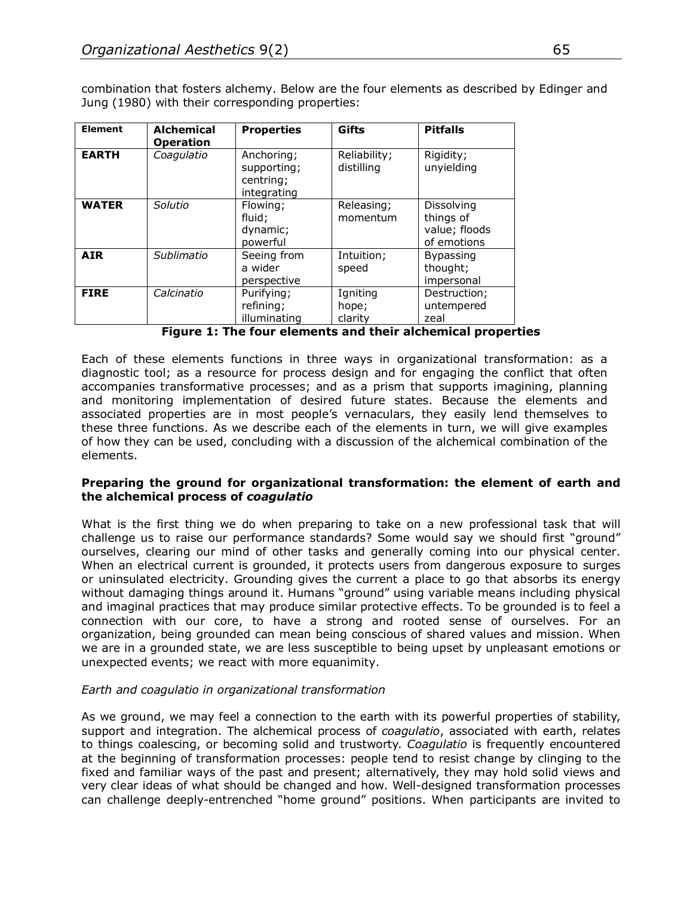combination that fosters alchemy. Below are the four elements as described by Edinger and Jung (1980) with their corresponding properties:

| <b>Element</b> | <b>Alchemical</b><br><b>Operation</b> | <b>Properties</b>                                     | Gifts                        | <b>Pitfalls</b>                                         |
|----------------|---------------------------------------|-------------------------------------------------------|------------------------------|---------------------------------------------------------|
| <b>EARTH</b>   | Coagulatio                            | Anchoring;<br>supporting;<br>centring;<br>integrating | Reliability;<br>distilling   | Rigidity;<br>unyielding                                 |
| <b>WATER</b>   | Solutio                               | Flowing;<br>fluid:<br>dynamic;<br>powerful            | Releasing;<br>momentum       | Dissolving<br>things of<br>value; floods<br>of emotions |
| <b>AIR</b>     | Sublimatio                            | Seeing from<br>a wider<br>perspective                 | Intuition;<br>speed          | <b>Bypassing</b><br>thought;<br>impersonal              |
| <b>FIRE</b>    | Calcinatio                            | Purifying;<br>refining;<br>illuminating               | Igniting<br>hope;<br>clarity | Destruction;<br>untempered<br>zeal                      |

**Figure 1: The four elements and their alchemical properties**

Each of these elements functions in three ways in organizational transformation: as a diagnostic tool; as a resource for process design and for engaging the conflict that often accompanies transformative processes; and as a prism that supports imagining, planning and monitoring implementation of desired future states. Because the elements and associated properties are in most people's vernaculars, they easily lend themselves to these three functions. As we describe each of the elements in turn, we will give examples of how they can be used, concluding with a discussion of the alchemical combination of the elements.

### **Preparing the ground for organizational transformation: the element of earth and the alchemical process of** *coagulatio*

What is the first thing we do when preparing to take on a new professional task that will challenge us to raise our performance standards? Some would say we should first "ground" ourselves, clearing our mind of other tasks and generally coming into our physical center. When an electrical current is grounded, it protects users from dangerous exposure to surges or uninsulated electricity. Grounding gives the current a place to go that absorbs its energy without damaging things around it. Humans "ground" using variable means including physical and imaginal practices that may produce similar protective effects. To be grounded is to feel a connection with our core, to have a strong and rooted sense of ourselves. For an organization, being grounded can mean being conscious of shared values and mission. When we are in a grounded state, we are less susceptible to being upset by unpleasant emotions or unexpected events; we react with more equanimity.

## *Earth and coagulatio in organizational transformation*

As we ground, we may feel a connection to the earth with its powerful properties of stability, support and integration. The alchemical process of *coagulatio*, associated with earth, relates to things coalescing, or becoming solid and trustworty. *Coagulatio* is frequently encountered at the beginning of transformation processes: people tend to resist change by clinging to the fixed and familiar ways of the past and present; alternatively, they may hold solid views and very clear ideas of what should be changed and how. Well-designed transformation processes can challenge deeply-entrenched "home ground" positions. When participants are invited to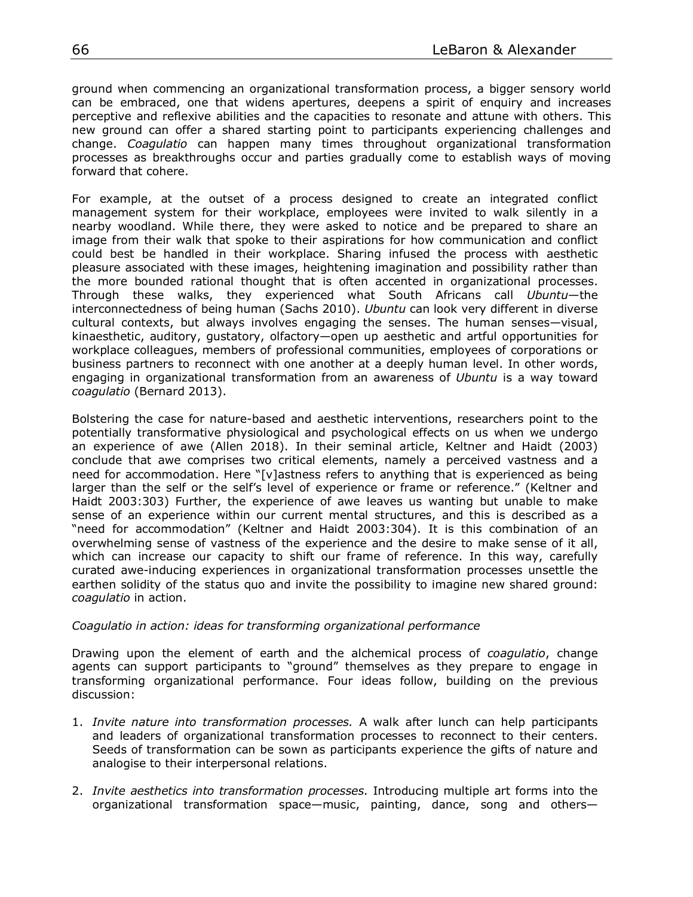ground when commencing an organizational transformation process, a bigger sensory world can be embraced, one that widens apertures, deepens a spirit of enquiry and increases perceptive and reflexive abilities and the capacities to resonate and attune with others. This new ground can offer a shared starting point to participants experiencing challenges and change. *Coagulatio* can happen many times throughout organizational transformation processes as breakthroughs occur and parties gradually come to establish ways of moving forward that cohere.

For example, at the outset of a process designed to create an integrated conflict management system for their workplace, employees were invited to walk silently in a nearby woodland. While there, they were asked to notice and be prepared to share an image from their walk that spoke to their aspirations for how communication and conflict could best be handled in their workplace. Sharing infused the process with aesthetic pleasure associated with these images, heightening imagination and possibility rather than the more bounded rational thought that is often accented in organizational processes. Through these walks, they experienced what South Africans call *Ubuntu*—the interconnectedness of being human (Sachs 2010). *Ubuntu* can look very different in diverse cultural contexts, but always involves engaging the senses. The human senses*—*visual, kinaesthetic, auditory, gustatory, olfactory*—*open up aesthetic and artful opportunities for workplace colleagues, members of professional communities, employees of corporations or business partners to reconnect with one another at a deeply human level. In other words, engaging in organizational transformation from an awareness of *Ubuntu* is a way toward *coagulatio* (Bernard 2013).

Bolstering the case for nature-based and aesthetic interventions, researchers point to the potentially transformative physiological and psychological effects on us when we undergo an experience of awe (Allen 2018). In their seminal article, Keltner and Haidt (2003) conclude that awe comprises two critical elements, namely a perceived vastness and a need for accommodation. Here "[v]astness refers to anything that is experienced as being larger than the self or the self's level of experience or frame or reference." (Keltner and Haidt 2003:303) Further, the experience of awe leaves us wanting but unable to make sense of an experience within our current mental structures, and this is described as a "need for accommodation" (Keltner and Haidt 2003:304). It is this combination of an overwhelming sense of vastness of the experience and the desire to make sense of it all, which can increase our capacity to shift our frame of reference. In this way, carefully curated awe-inducing experiences in organizational transformation processes unsettle the earthen solidity of the status quo and invite the possibility to imagine new shared ground: *coagulatio* in action.

#### *Coagulatio in action: ideas for transforming organizational performance*

Drawing upon the element of earth and the alchemical process of *coagulatio*, change agents can support participants to "ground" themselves as they prepare to engage in transforming organizational performance. Four ideas follow, building on the previous discussion:

- 1. *Invite nature into transformation processes.* A walk after lunch can help participants and leaders of organizational transformation processes to reconnect to their centers. Seeds of transformation can be sown as participants experience the gifts of nature and analogise to their interpersonal relations.
- 2. *Invite aesthetics into transformation processes.* Introducing multiple art forms into the organizational transformation space—music, painting, dance, song and others—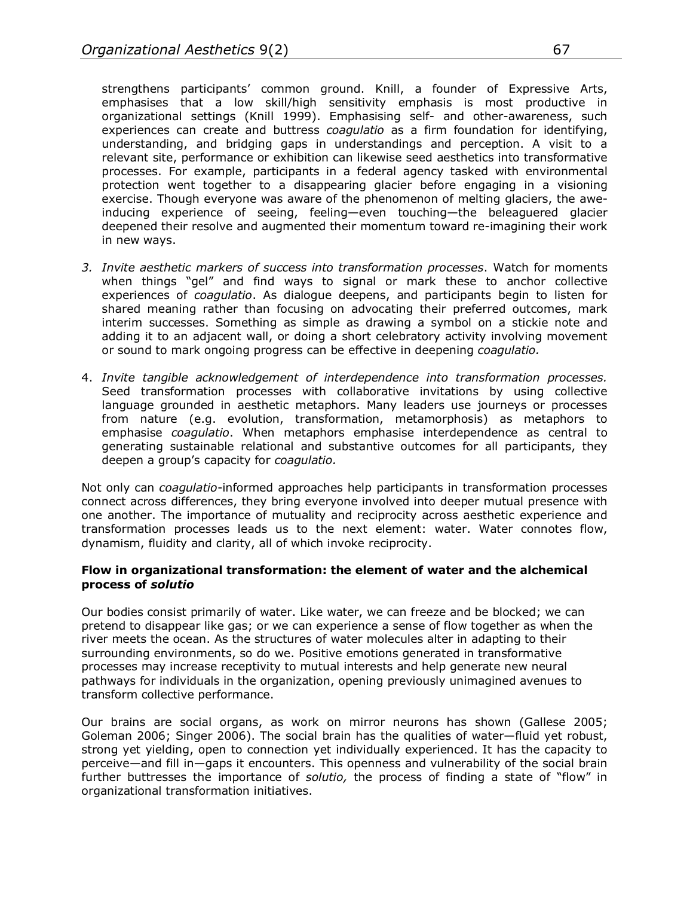strengthens participants' common ground. Knill, a founder of Expressive Arts, emphasises that a low skill/high sensitivity emphasis is most productive in organizational settings (Knill 1999). Emphasising self- and other-awareness, such experiences can create and buttress *coagulatio* as a firm foundation for identifying, understanding, and bridging gaps in understandings and perception. A visit to a relevant site, performance or exhibition can likewise seed aesthetics into transformative processes. For example, participants in a federal agency tasked with environmental protection went together to a disappearing glacier before engaging in a visioning exercise. Though everyone was aware of the phenomenon of melting glaciers, the aweinducing experience of seeing, feeling—even touching—the beleaguered glacier deepened their resolve and augmented their momentum toward re-imagining their work in new ways.

- *3. Invite aesthetic markers of success into transformation processes*. Watch for moments when things "gel" and find ways to signal or mark these to anchor collective experiences of *coagulatio*. As dialogue deepens, and participants begin to listen for shared meaning rather than focusing on advocating their preferred outcomes, mark interim successes. Something as simple as drawing a symbol on a stickie note and adding it to an adjacent wall, or doing a short celebratory activity involving movement or sound to mark ongoing progress can be effective in deepening *coagulatio.*
- 4. *Invite tangible acknowledgement of interdependence into transformation processes.* Seed transformation processes with collaborative invitations by using collective language grounded in aesthetic metaphors. Many leaders use journeys or processes from nature (e.g. evolution, transformation, metamorphosis) as metaphors to emphasise *coagulatio*. When metaphors emphasise interdependence as central to generating sustainable relational and substantive outcomes for all participants, they deepen a group's capacity for *coagulatio.*

Not only can *coagulatio*-informed approaches help participants in transformation processes connect across differences, they bring everyone involved into deeper mutual presence with one another. The importance of mutuality and reciprocity across aesthetic experience and transformation processes leads us to the next element: water. Water connotes flow, dynamism, fluidity and clarity, all of which invoke reciprocity.

### **Flow in organizational transformation: the element of water and the alchemical process of** *solutio*

Our bodies consist primarily of water. Like water, we can freeze and be blocked; we can pretend to disappear like gas; or we can experience a sense of flow together as when the river meets the ocean. As the structures of water molecules alter in adapting to their surrounding environments, so do we. Positive emotions generated in transformative processes may increase receptivity to mutual interests and help generate new neural pathways for individuals in the organization, opening previously unimagined avenues to transform collective performance.

Our brains are social organs, as work on mirror neurons has shown (Gallese 2005; Goleman 2006; Singer 2006). The social brain has the qualities of water—fluid yet robust, strong yet yielding, open to connection yet individually experienced. It has the capacity to perceive—and fill in—gaps it encounters. This openness and vulnerability of the social brain further buttresses the importance of *solutio,* the process of finding a state of "flow" in organizational transformation initiatives.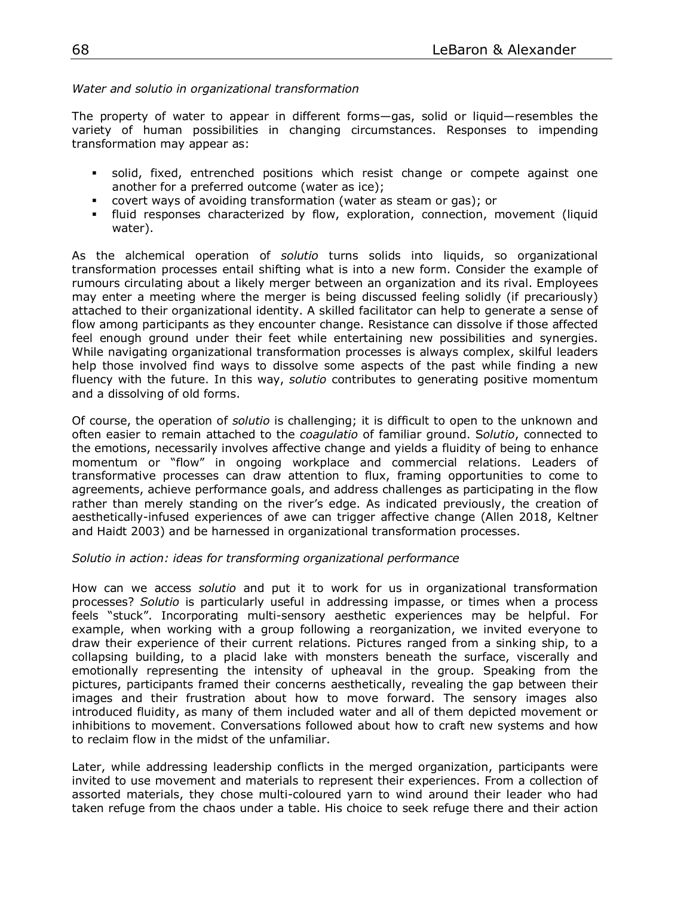#### *Water and solutio in organizational transformation*

The property of water to appear in different forms—gas, solid or liquid—resembles the variety of human possibilities in changing circumstances. Responses to impending transformation may appear as:

- § solid, fixed, entrenched positions which resist change or compete against one another for a preferred outcome (water as ice);
- § covert ways of avoiding transformation (water as steam or gas); or
- fluid responses characterized by flow, exploration, connection, movement (liquid water).

As the alchemical operation of *solutio* turns solids into liquids, so organizational transformation processes entail shifting what is into a new form. Consider the example of rumours circulating about a likely merger between an organization and its rival. Employees may enter a meeting where the merger is being discussed feeling solidly (if precariously) attached to their organizational identity. A skilled facilitator can help to generate a sense of flow among participants as they encounter change. Resistance can dissolve if those affected feel enough ground under their feet while entertaining new possibilities and synergies. While navigating organizational transformation processes is always complex, skilful leaders help those involved find ways to dissolve some aspects of the past while finding a new fluency with the future. In this way, *solutio* contributes to generating positive momentum and a dissolving of old forms.

Of course, the operation of *solutio* is challenging; it is difficult to open to the unknown and often easier to remain attached to the *coagulatio* of familiar ground. S*olutio*, connected to the emotions, necessarily involves affective change and yields a fluidity of being to enhance momentum or "flow" in ongoing workplace and commercial relations. Leaders of transformative processes can draw attention to flux, framing opportunities to come to agreements, achieve performance goals, and address challenges as participating in the flow rather than merely standing on the river's edge. As indicated previously, the creation of aesthetically-infused experiences of awe can trigger affective change (Allen 2018, Keltner and Haidt 2003) and be harnessed in organizational transformation processes.

#### *Solutio in action: ideas for transforming organizational performance*

How can we access *solutio* and put it to work for us in organizational transformation processes? *Solutio* is particularly useful in addressing impasse, or times when a process feels "stuck". Incorporating multi-sensory aesthetic experiences may be helpful. For example, when working with a group following a reorganization, we invited everyone to draw their experience of their current relations. Pictures ranged from a sinking ship, to a collapsing building, to a placid lake with monsters beneath the surface, viscerally and emotionally representing the intensity of upheaval in the group. Speaking from the pictures, participants framed their concerns aesthetically, revealing the gap between their images and their frustration about how to move forward. The sensory images also introduced fluidity, as many of them included water and all of them depicted movement or inhibitions to movement. Conversations followed about how to craft new systems and how to reclaim flow in the midst of the unfamiliar.

Later, while addressing leadership conflicts in the merged organization, participants were invited to use movement and materials to represent their experiences. From a collection of assorted materials, they chose multi-coloured yarn to wind around their leader who had taken refuge from the chaos under a table. His choice to seek refuge there and their action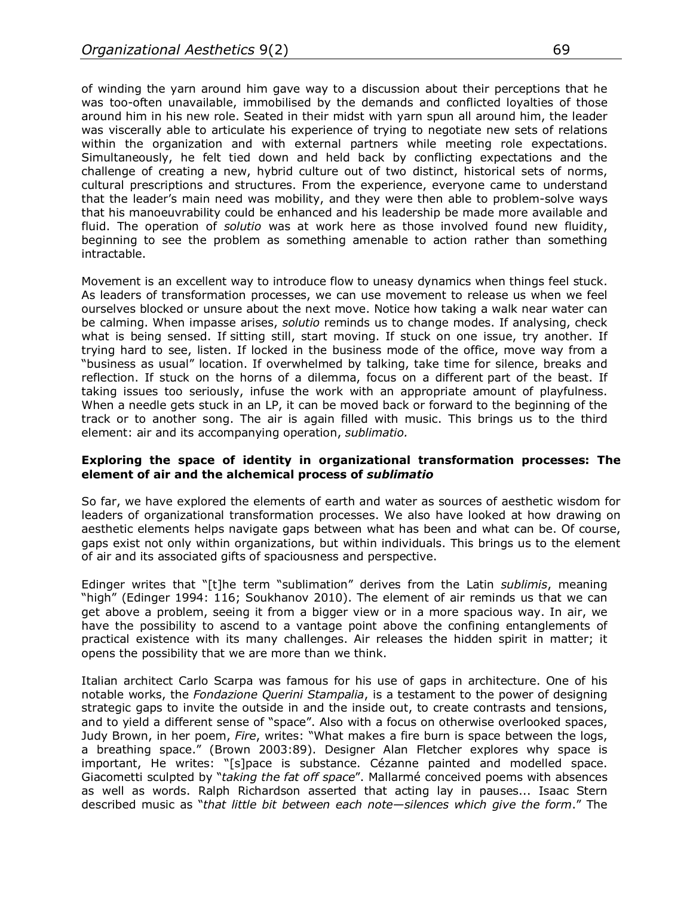of winding the yarn around him gave way to a discussion about their perceptions that he was too-often unavailable, immobilised by the demands and conflicted loyalties of those around him in his new role. Seated in their midst with yarn spun all around him, the leader was viscerally able to articulate his experience of trying to negotiate new sets of relations within the organization and with external partners while meeting role expectations. Simultaneously, he felt tied down and held back by conflicting expectations and the challenge of creating a new, hybrid culture out of two distinct, historical sets of norms, cultural prescriptions and structures. From the experience, everyone came to understand that the leader's main need was mobility, and they were then able to problem-solve ways that his manoeuvrability could be enhanced and his leadership be made more available and fluid. The operation of *solutio* was at work here as those involved found new fluidity, beginning to see the problem as something amenable to action rather than something intractable.

Movement is an excellent way to introduce flow to uneasy dynamics when things feel stuck. As leaders of transformation processes, we can use movement to release us when we feel ourselves blocked or unsure about the next move. Notice how taking a walk near water can be calming. When impasse arises, *solutio* reminds us to change modes. If analysing, check what is being sensed. If sitting still, start moving. If stuck on one issue, try another. If trying hard to see, listen. If locked in the business mode of the office, move way from a "business as usual" location. If overwhelmed by talking, take time for silence, breaks and reflection. If stuck on the horns of a dilemma, focus on a different part of the beast. If taking issues too seriously, infuse the work with an appropriate amount of playfulness. When a needle gets stuck in an LP, it can be moved back or forward to the beginning of the track or to another song. The air is again filled with music. This brings us to the third element: air and its accompanying operation, *sublimatio.*

#### **Exploring the space of identity in organizational transformation processes: The element of air and the alchemical process of** *sublimatio*

So far, we have explored the elements of earth and water as sources of aesthetic wisdom for leaders of organizational transformation processes. We also have looked at how drawing on aesthetic elements helps navigate gaps between what has been and what can be. Of course, gaps exist not only within organizations, but within individuals. This brings us to the element of air and its associated gifts of spaciousness and perspective.

Edinger writes that "[t]he term "sublimation" derives from the Latin *sublimis*, meaning "high" (Edinger 1994: 116; Soukhanov 2010). The element of air reminds us that we can get above a problem, seeing it from a bigger view or in a more spacious way. In air, we have the possibility to ascend to a vantage point above the confining entanglements of practical existence with its many challenges. Air releases the hidden spirit in matter; it opens the possibility that we are more than we think.

Italian architect Carlo Scarpa was famous for his use of gaps in architecture. One of his notable works, the *Fondazione Querini Stampalia*, is a testament to the power of designing strategic gaps to invite the outside in and the inside out, to create contrasts and tensions, and to yield a different sense of "space". Also with a focus on otherwise overlooked spaces, Judy Brown, in her poem, *Fire*, writes: "What makes a fire burn is space between the logs, a breathing space." (Brown 2003:89). Designer Alan Fletcher explores why space is important, He writes: "[s]pace is substance. Cézanne painted and modelled space. Giacometti sculpted by "*taking the fat off space*". Mallarmé conceived poems with absences as well as words. Ralph Richardson asserted that acting lay in pauses... Isaac Stern described music as "*that little bit between each note—silences which give the form*." The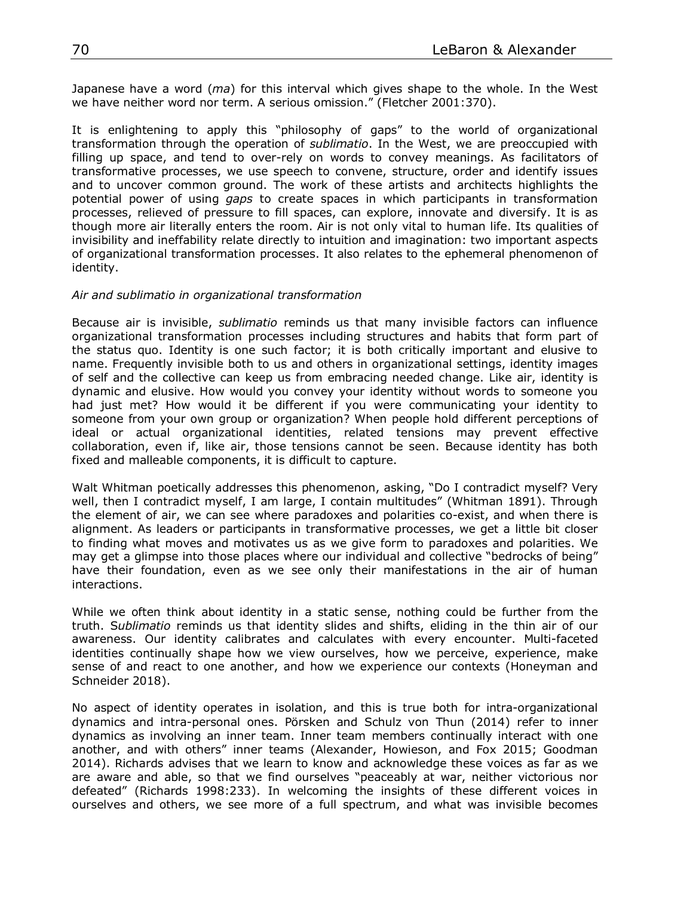Japanese have a word (*ma*) for this interval which gives shape to the whole. In the West we have neither word nor term. A serious omission." (Fletcher 2001:370).

It is enlightening to apply this "philosophy of gaps" to the world of organizational transformation through the operation of *sublimatio*. In the West, we are preoccupied with filling up space, and tend to over-rely on words to convey meanings. As facilitators of transformative processes, we use speech to convene, structure, order and identify issues and to uncover common ground. The work of these artists and architects highlights the potential power of using *gaps* to create spaces in which participants in transformation processes, relieved of pressure to fill spaces, can explore, innovate and diversify. It is as though more air literally enters the room. Air is not only vital to human life. Its qualities of invisibility and ineffability relate directly to intuition and imagination: two important aspects of organizational transformation processes. It also relates to the ephemeral phenomenon of identity.

#### *Air and sublimatio in organizational transformation*

Because air is invisible, *sublimatio* reminds us that many invisible factors can influence organizational transformation processes including structures and habits that form part of the status quo. Identity is one such factor; it is both critically important and elusive to name. Frequently invisible both to us and others in organizational settings, identity images of self and the collective can keep us from embracing needed change. Like air, identity is dynamic and elusive. How would you convey your identity without words to someone you had just met? How would it be different if you were communicating your identity to someone from your own group or organization? When people hold different perceptions of ideal or actual organizational identities, related tensions may prevent effective collaboration, even if, like air, those tensions cannot be seen. Because identity has both fixed and malleable components, it is difficult to capture.

Walt Whitman poetically addresses this phenomenon, asking, "Do I contradict myself? Very well, then I contradict myself, I am large, I contain multitudes" (Whitman 1891). Through the element of air, we can see where paradoxes and polarities co-exist, and when there is alignment. As leaders or participants in transformative processes, we get a little bit closer to finding what moves and motivates us as we give form to paradoxes and polarities. We may get a glimpse into those places where our individual and collective "bedrocks of being" have their foundation, even as we see only their manifestations in the air of human interactions.

While we often think about identity in a static sense, nothing could be further from the truth. S*ublimatio* reminds us that identity slides and shifts, eliding in the thin air of our awareness. Our identity calibrates and calculates with every encounter. Multi-faceted identities continually shape how we view ourselves, how we perceive, experience, make sense of and react to one another, and how we experience our contexts (Honeyman and Schneider 2018).

No aspect of identity operates in isolation, and this is true both for intra-organizational dynamics and intra-personal ones. Pörsken and Schulz von Thun (2014) refer to inner dynamics as involving an inner team. Inner team members continually interact with one another, and with others" inner teams (Alexander, Howieson, and Fox 2015; Goodman 2014). Richards advises that we learn to know and acknowledge these voices as far as we are aware and able, so that we find ourselves "peaceably at war, neither victorious nor defeated" (Richards 1998:233). In welcoming the insights of these different voices in ourselves and others, we see more of a full spectrum, and what was invisible becomes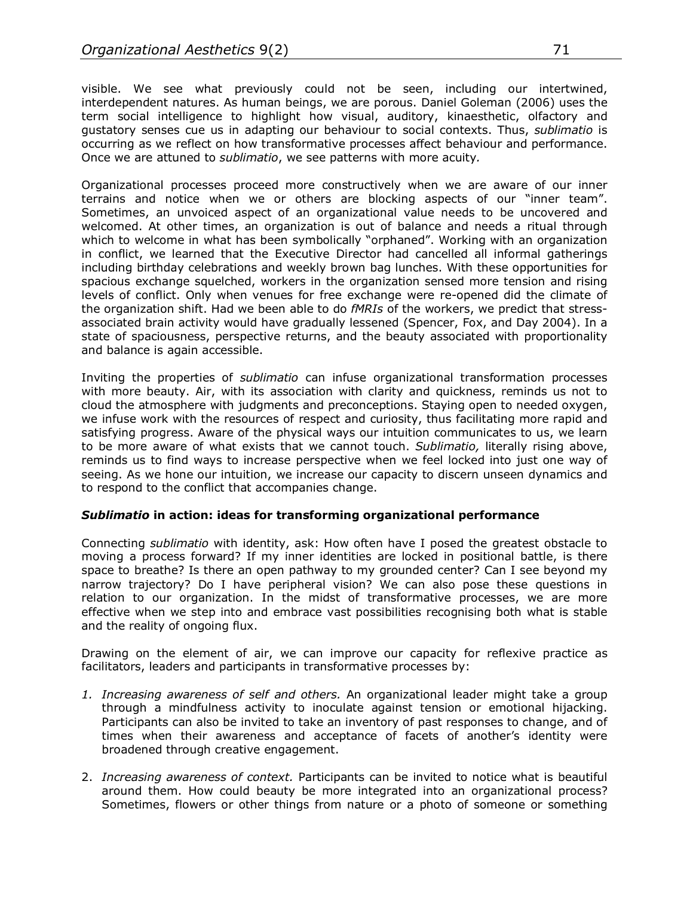visible. We see what previously could not be seen, including our intertwined, interdependent natures. As human beings, we are porous. Daniel Goleman (2006) uses the term social intelligence to highlight how visual, auditory, kinaesthetic, olfactory and gustatory senses cue us in adapting our behaviour to social contexts. Thus, *sublimatio* is occurring as we reflect on how transformative processes affect behaviour and performance. Once we are attuned to *sublimatio*, we see patterns with more acuity*.*

Organizational processes proceed more constructively when we are aware of our inner terrains and notice when we or others are blocking aspects of our "inner team". Sometimes, an unvoiced aspect of an organizational value needs to be uncovered and welcomed. At other times, an organization is out of balance and needs a ritual through which to welcome in what has been symbolically "orphaned". Working with an organization in conflict, we learned that the Executive Director had cancelled all informal gatherings including birthday celebrations and weekly brown bag lunches. With these opportunities for spacious exchange squelched, workers in the organization sensed more tension and rising levels of conflict. Only when venues for free exchange were re-opened did the climate of the organization shift. Had we been able to do *fMRIs* of the workers, we predict that stressassociated brain activity would have gradually lessened (Spencer, Fox, and Day 2004). In a state of spaciousness, perspective returns, and the beauty associated with proportionality and balance is again accessible.

Inviting the properties of *sublimatio* can infuse organizational transformation processes with more beauty. Air, with its association with clarity and quickness, reminds us not to cloud the atmosphere with judgments and preconceptions. Staying open to needed oxygen, we infuse work with the resources of respect and curiosity, thus facilitating more rapid and satisfying progress. Aware of the physical ways our intuition communicates to us, we learn to be more aware of what exists that we cannot touch. *Sublimatio,* literally rising above, reminds us to find ways to increase perspective when we feel locked into just one way of seeing. As we hone our intuition, we increase our capacity to discern unseen dynamics and to respond to the conflict that accompanies change.

## *Sublimatio* **in action: ideas for transforming organizational performance**

Connecting *sublimatio* with identity, ask: How often have I posed the greatest obstacle to moving a process forward? If my inner identities are locked in positional battle, is there space to breathe? Is there an open pathway to my grounded center? Can I see beyond my narrow trajectory? Do I have peripheral vision? We can also pose these questions in relation to our organization. In the midst of transformative processes, we are more effective when we step into and embrace vast possibilities recognising both what is stable and the reality of ongoing flux.

Drawing on the element of air, we can improve our capacity for reflexive practice as facilitators, leaders and participants in transformative processes by:

- *1. Increasing awareness of self and others.* An organizational leader might take a group through a mindfulness activity to inoculate against tension or emotional hijacking. Participants can also be invited to take an inventory of past responses to change, and of times when their awareness and acceptance of facets of another's identity were broadened through creative engagement.
- 2. *Increasing awareness of context.* Participants can be invited to notice what is beautiful around them. How could beauty be more integrated into an organizational process? Sometimes, flowers or other things from nature or a photo of someone or something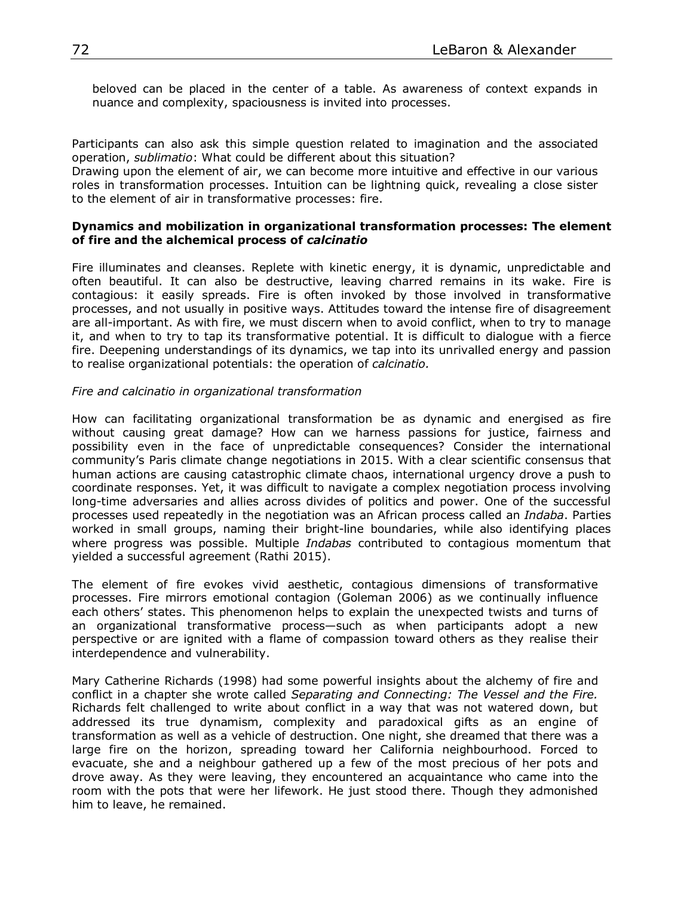beloved can be placed in the center of a table. As awareness of context expands in nuance and complexity, spaciousness is invited into processes.

Participants can also ask this simple question related to imagination and the associated operation, *sublimatio*: What could be different about this situation?

Drawing upon the element of air, we can become more intuitive and effective in our various roles in transformation processes. Intuition can be lightning quick, revealing a close sister to the element of air in transformative processes: fire.

#### **Dynamics and mobilization in organizational transformation processes: The element of fire and the alchemical process of** *calcinatio*

Fire illuminates and cleanses. Replete with kinetic energy, it is dynamic, unpredictable and often beautiful. It can also be destructive, leaving charred remains in its wake. Fire is contagious: it easily spreads. Fire is often invoked by those involved in transformative processes, and not usually in positive ways. Attitudes toward the intense fire of disagreement are all-important. As with fire, we must discern when to avoid conflict, when to try to manage it, and when to try to tap its transformative potential. It is difficult to dialogue with a fierce fire. Deepening understandings of its dynamics, we tap into its unrivalled energy and passion to realise organizational potentials: the operation of *calcinatio.*

#### *Fire and calcinatio in organizational transformation*

How can facilitating organizational transformation be as dynamic and energised as fire without causing great damage? How can we harness passions for justice, fairness and possibility even in the face of unpredictable consequences? Consider the international community's Paris climate change negotiations in 2015. With a clear scientific consensus that human actions are causing catastrophic climate chaos, international urgency drove a push to coordinate responses. Yet, it was difficult to navigate a complex negotiation process involving long-time adversaries and allies across divides of politics and power. One of the successful processes used repeatedly in the negotiation was an African process called an *Indaba*. Parties worked in small groups, naming their bright-line boundaries, while also identifying places where progress was possible. Multiple *Indabas* contributed to contagious momentum that yielded a successful agreement (Rathi 2015).

The element of fire evokes vivid aesthetic, contagious dimensions of transformative processes. Fire mirrors emotional contagion (Goleman 2006) as we continually influence each others' states. This phenomenon helps to explain the unexpected twists and turns of an organizational transformative process—such as when participants adopt a new perspective or are ignited with a flame of compassion toward others as they realise their interdependence and vulnerability.

Mary Catherine Richards (1998) had some powerful insights about the alchemy of fire and conflict in a chapter she wrote called *Separating and Connecting: The Vessel and the Fire.* Richards felt challenged to write about conflict in a way that was not watered down, but addressed its true dynamism, complexity and paradoxical gifts as an engine of transformation as well as a vehicle of destruction. One night, she dreamed that there was a large fire on the horizon, spreading toward her California neighbourhood. Forced to evacuate, she and a neighbour gathered up a few of the most precious of her pots and drove away. As they were leaving, they encountered an acquaintance who came into the room with the pots that were her lifework. He just stood there. Though they admonished him to leave, he remained.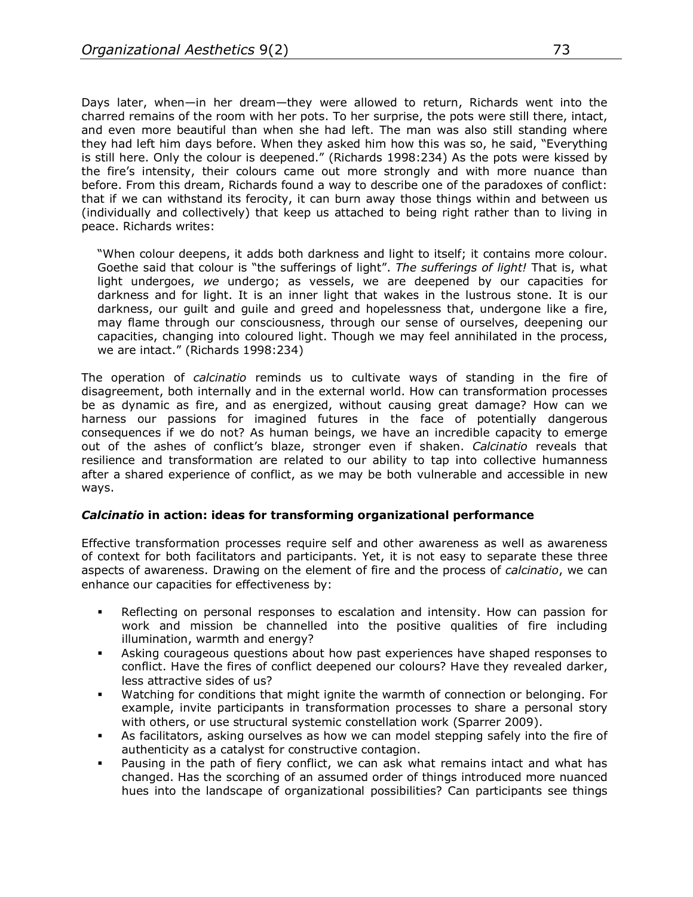Days later, when—in her dream—they were allowed to return, Richards went into the charred remains of the room with her pots. To her surprise, the pots were still there, intact, and even more beautiful than when she had left. The man was also still standing where they had left him days before. When they asked him how this was so, he said, "Everything is still here. Only the colour is deepened." (Richards 1998:234) As the pots were kissed by the fire's intensity, their colours came out more strongly and with more nuance than before. From this dream, Richards found a way to describe one of the paradoxes of conflict: that if we can withstand its ferocity, it can burn away those things within and between us (individually and collectively) that keep us attached to being right rather than to living in peace. Richards writes:

"When colour deepens, it adds both darkness and light to itself; it contains more colour. Goethe said that colour is "the sufferings of light". *The sufferings of light!* That is, what light undergoes, *we* undergo; as vessels, we are deepened by our capacities for darkness and for light. It is an inner light that wakes in the lustrous stone. It is our darkness, our guilt and guile and greed and hopelessness that, undergone like a fire, may flame through our consciousness, through our sense of ourselves, deepening our capacities, changing into coloured light. Though we may feel annihilated in the process, we are intact." (Richards 1998:234)

The operation of *calcinatio* reminds us to cultivate ways of standing in the fire of disagreement, both internally and in the external world. How can transformation processes be as dynamic as fire, and as energized, without causing great damage? How can we harness our passions for imagined futures in the face of potentially dangerous consequences if we do not? As human beings, we have an incredible capacity to emerge out of the ashes of conflict's blaze, stronger even if shaken. *Calcinatio* reveals that resilience and transformation are related to our ability to tap into collective humanness after a shared experience of conflict, as we may be both vulnerable and accessible in new ways.

## *Calcinatio* **in action: ideas for transforming organizational performance**

Effective transformation processes require self and other awareness as well as awareness of context for both facilitators and participants. Yet, it is not easy to separate these three aspects of awareness. Drawing on the element of fire and the process of *calcinatio*, we can enhance our capacities for effectiveness by:

- § Reflecting on personal responses to escalation and intensity. How can passion for work and mission be channelled into the positive qualities of fire including illumination, warmth and energy?
- **Asking courageous questions about how past experiences have shaped responses to** conflict. Have the fires of conflict deepened our colours? Have they revealed darker, less attractive sides of us?
- § Watching for conditions that might ignite the warmth of connection or belonging. For example, invite participants in transformation processes to share a personal story with others, or use structural systemic constellation work (Sparrer 2009).
- As facilitators, asking ourselves as how we can model stepping safely into the fire of authenticity as a catalyst for constructive contagion.
- Pausing in the path of fiery conflict, we can ask what remains intact and what has changed. Has the scorching of an assumed order of things introduced more nuanced hues into the landscape of organizational possibilities? Can participants see things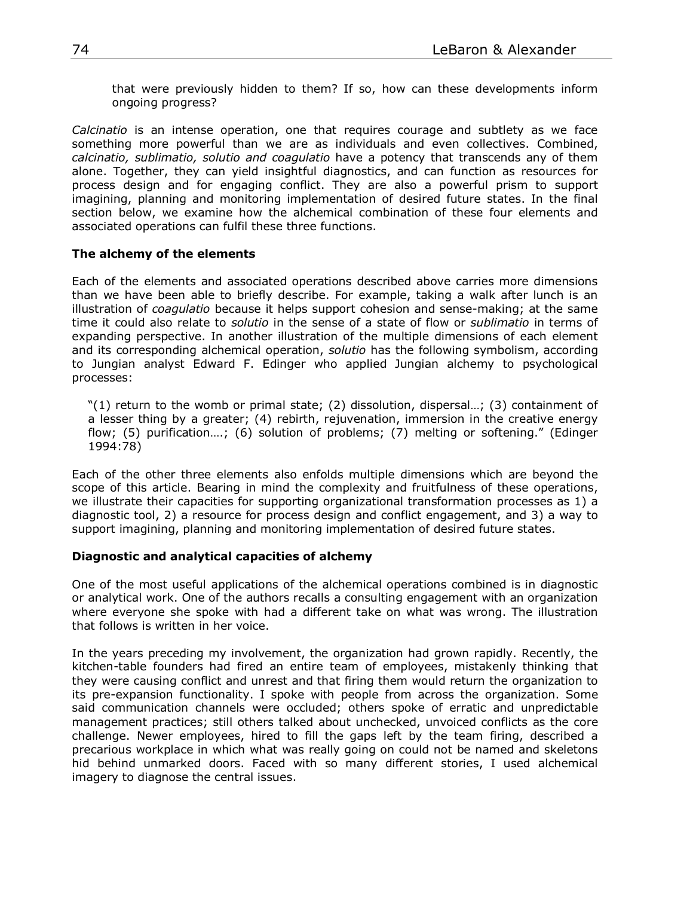that were previously hidden to them? If so, how can these developments inform ongoing progress?

*Calcinatio* is an intense operation, one that requires courage and subtlety as we face something more powerful than we are as individuals and even collectives. Combined, *calcinatio, sublimatio, solutio and coagulatio* have a potency that transcends any of them alone. Together, they can yield insightful diagnostics, and can function as resources for process design and for engaging conflict. They are also a powerful prism to support imagining, planning and monitoring implementation of desired future states. In the final section below, we examine how the alchemical combination of these four elements and associated operations can fulfil these three functions.

#### **The alchemy of the elements**

Each of the elements and associated operations described above carries more dimensions than we have been able to briefly describe. For example, taking a walk after lunch is an illustration of *coagulatio* because it helps support cohesion and sense-making; at the same time it could also relate to *solutio* in the sense of a state of flow or *sublimatio* in terms of expanding perspective. In another illustration of the multiple dimensions of each element and its corresponding alchemical operation, *solutio* has the following symbolism, according to Jungian analyst Edward F. Edinger who applied Jungian alchemy to psychological processes:

"(1) return to the womb or primal state; (2) dissolution, dispersal…; (3) containment of a lesser thing by a greater; (4) rebirth, rejuvenation, immersion in the creative energy flow; (5) purification….; (6) solution of problems; (7) melting or softening." (Edinger 1994:78)

Each of the other three elements also enfolds multiple dimensions which are beyond the scope of this article. Bearing in mind the complexity and fruitfulness of these operations, we illustrate their capacities for supporting organizational transformation processes as 1) a diagnostic tool, 2) a resource for process design and conflict engagement, and 3) a way to support imagining, planning and monitoring implementation of desired future states.

#### **Diagnostic and analytical capacities of alchemy**

One of the most useful applications of the alchemical operations combined is in diagnostic or analytical work. One of the authors recalls a consulting engagement with an organization where everyone she spoke with had a different take on what was wrong. The illustration that follows is written in her voice.

In the years preceding my involvement, the organization had grown rapidly. Recently, the kitchen-table founders had fired an entire team of employees, mistakenly thinking that they were causing conflict and unrest and that firing them would return the organization to its pre-expansion functionality. I spoke with people from across the organization. Some said communication channels were occluded; others spoke of erratic and unpredictable management practices; still others talked about unchecked, unvoiced conflicts as the core challenge. Newer employees, hired to fill the gaps left by the team firing, described a precarious workplace in which what was really going on could not be named and skeletons hid behind unmarked doors. Faced with so many different stories, I used alchemical imagery to diagnose the central issues.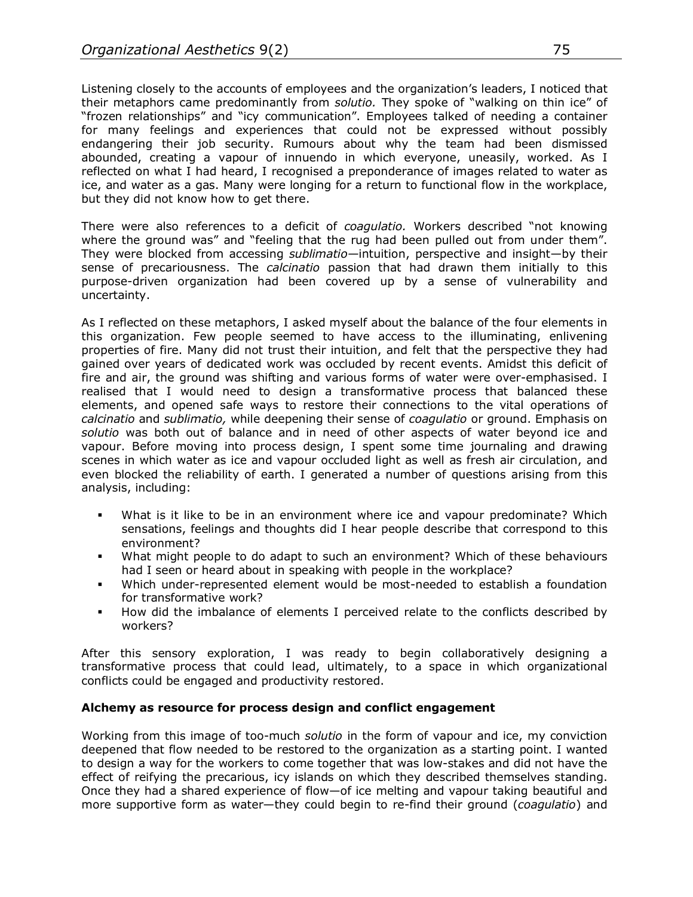Listening closely to the accounts of employees and the organization's leaders, I noticed that their metaphors came predominantly from *solutio.* They spoke of "walking on thin ice" of "frozen relationships" and "icy communication". Employees talked of needing a container for many feelings and experiences that could not be expressed without possibly endangering their job security. Rumours about why the team had been dismissed abounded, creating a vapour of innuendo in which everyone, uneasily, worked. As I reflected on what I had heard, I recognised a preponderance of images related to water as ice, and water as a gas. Many were longing for a return to functional flow in the workplace, but they did not know how to get there.

There were also references to a deficit of *coagulatio.* Workers described "not knowing where the ground was" and "feeling that the rug had been pulled out from under them". They were blocked from accessing *sublimatio—*intuition, perspective and insight—by their sense of precariousness. The *calcinatio* passion that had drawn them initially to this purpose-driven organization had been covered up by a sense of vulnerability and uncertainty.

As I reflected on these metaphors, I asked myself about the balance of the four elements in this organization. Few people seemed to have access to the illuminating, enlivening properties of fire. Many did not trust their intuition, and felt that the perspective they had gained over years of dedicated work was occluded by recent events. Amidst this deficit of fire and air, the ground was shifting and various forms of water were over-emphasised. I realised that I would need to design a transformative process that balanced these elements, and opened safe ways to restore their connections to the vital operations of *calcinatio* and *sublimatio,* while deepening their sense of *coagulatio* or ground. Emphasis on *solutio* was both out of balance and in need of other aspects of water beyond ice and vapour. Before moving into process design, I spent some time journaling and drawing scenes in which water as ice and vapour occluded light as well as fresh air circulation, and even blocked the reliability of earth. I generated a number of questions arising from this analysis, including:

- § What is it like to be in an environment where ice and vapour predominate? Which sensations, feelings and thoughts did I hear people describe that correspond to this environment?
- § What might people to do adapt to such an environment? Which of these behaviours had I seen or heard about in speaking with people in the workplace?
- Which under-represented element would be most-needed to establish a foundation for transformative work?
- How did the imbalance of elements I perceived relate to the conflicts described by workers?

After this sensory exploration, I was ready to begin collaboratively designing a transformative process that could lead, ultimately, to a space in which organizational conflicts could be engaged and productivity restored.

## **Alchemy as resource for process design and conflict engagement**

Working from this image of too-much *solutio* in the form of vapour and ice, my conviction deepened that flow needed to be restored to the organization as a starting point. I wanted to design a way for the workers to come together that was low-stakes and did not have the effect of reifying the precarious, icy islands on which they described themselves standing. Once they had a shared experience of flow—of ice melting and vapour taking beautiful and more supportive form as water—they could begin to re-find their ground (*coagulatio*) and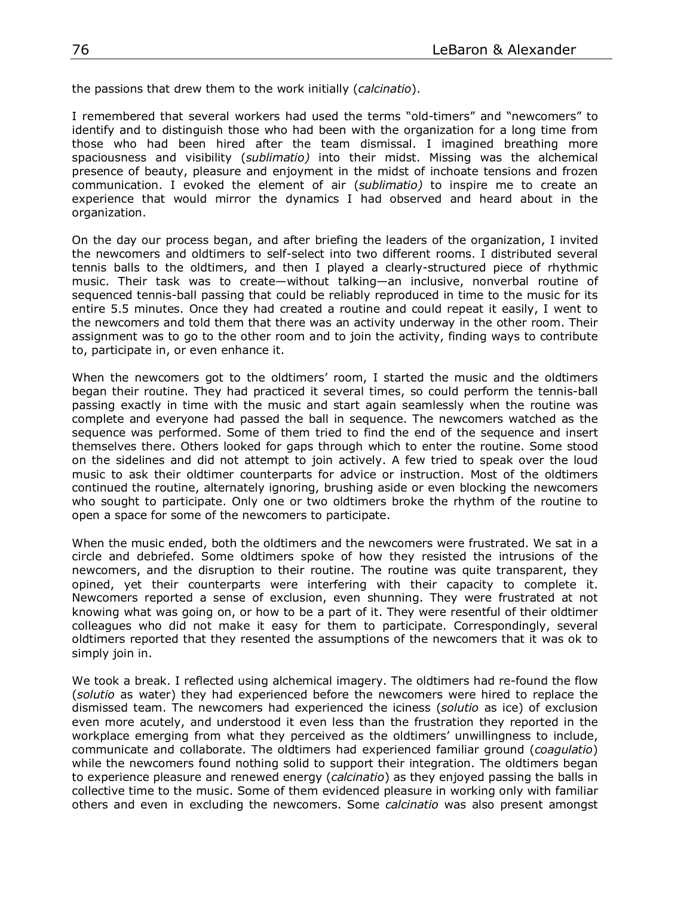the passions that drew them to the work initially (*calcinatio*).

I remembered that several workers had used the terms "old-timers" and "newcomers" to identify and to distinguish those who had been with the organization for a long time from those who had been hired after the team dismissal. I imagined breathing more spaciousness and visibility (*sublimatio)* into their midst. Missing was the alchemical presence of beauty, pleasure and enjoyment in the midst of inchoate tensions and frozen communication. I evoked the element of air (*sublimatio)* to inspire me to create an experience that would mirror the dynamics I had observed and heard about in the organization.

On the day our process began, and after briefing the leaders of the organization, I invited the newcomers and oldtimers to self-select into two different rooms. I distributed several tennis balls to the oldtimers, and then I played a clearly-structured piece of rhythmic music. Their task was to create—without talking—an inclusive, nonverbal routine of sequenced tennis-ball passing that could be reliably reproduced in time to the music for its entire 5.5 minutes. Once they had created a routine and could repeat it easily, I went to the newcomers and told them that there was an activity underway in the other room. Their assignment was to go to the other room and to join the activity, finding ways to contribute to, participate in, or even enhance it.

When the newcomers got to the oldtimers' room, I started the music and the oldtimers began their routine. They had practiced it several times, so could perform the tennis-ball passing exactly in time with the music and start again seamlessly when the routine was complete and everyone had passed the ball in sequence. The newcomers watched as the sequence was performed. Some of them tried to find the end of the sequence and insert themselves there. Others looked for gaps through which to enter the routine. Some stood on the sidelines and did not attempt to join actively. A few tried to speak over the loud music to ask their oldtimer counterparts for advice or instruction. Most of the oldtimers continued the routine, alternately ignoring, brushing aside or even blocking the newcomers who sought to participate. Only one or two oldtimers broke the rhythm of the routine to open a space for some of the newcomers to participate.

When the music ended, both the oldtimers and the newcomers were frustrated. We sat in a circle and debriefed. Some oldtimers spoke of how they resisted the intrusions of the newcomers, and the disruption to their routine. The routine was quite transparent, they opined, yet their counterparts were interfering with their capacity to complete it. Newcomers reported a sense of exclusion, even shunning. They were frustrated at not knowing what was going on, or how to be a part of it. They were resentful of their oldtimer colleagues who did not make it easy for them to participate. Correspondingly, several oldtimers reported that they resented the assumptions of the newcomers that it was ok to simply join in.

We took a break. I reflected using alchemical imagery. The oldtimers had re-found the flow (*solutio* as water) they had experienced before the newcomers were hired to replace the dismissed team. The newcomers had experienced the iciness (*solutio* as ice) of exclusion even more acutely, and understood it even less than the frustration they reported in the workplace emerging from what they perceived as the oldtimers' unwillingness to include, communicate and collaborate. The oldtimers had experienced familiar ground (*coagulatio*) while the newcomers found nothing solid to support their integration. The oldtimers began to experience pleasure and renewed energy (*calcinatio*) as they enjoyed passing the balls in collective time to the music. Some of them evidenced pleasure in working only with familiar others and even in excluding the newcomers. Some *calcinatio* was also present amongst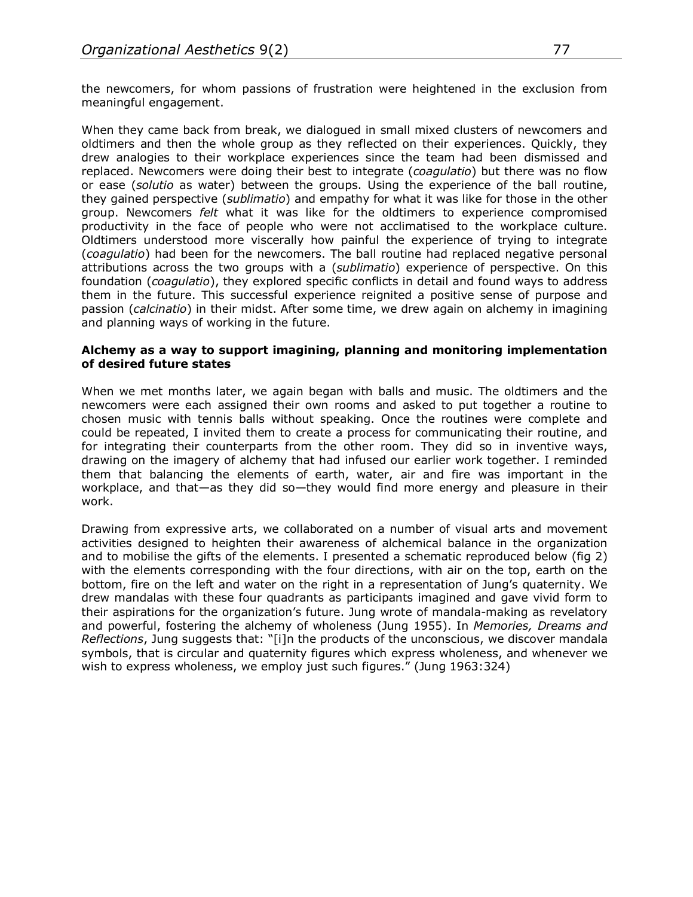the newcomers, for whom passions of frustration were heightened in the exclusion from meaningful engagement.

When they came back from break, we dialogued in small mixed clusters of newcomers and oldtimers and then the whole group as they reflected on their experiences. Quickly, they drew analogies to their workplace experiences since the team had been dismissed and replaced. Newcomers were doing their best to integrate (*coagulatio*) but there was no flow or ease (*solutio* as water) between the groups. Using the experience of the ball routine, they gained perspective (*sublimatio*) and empathy for what it was like for those in the other group. Newcomers *felt* what it was like for the oldtimers to experience compromised productivity in the face of people who were not acclimatised to the workplace culture. Oldtimers understood more viscerally how painful the experience of trying to integrate (*coagulatio*) had been for the newcomers. The ball routine had replaced negative personal attributions across the two groups with a (*sublimatio*) experience of perspective. On this foundation (*coagulatio*), they explored specific conflicts in detail and found ways to address them in the future. This successful experience reignited a positive sense of purpose and passion (*calcinatio*) in their midst. After some time, we drew again on alchemy in imagining and planning ways of working in the future.

#### **Alchemy as a way to support imagining, planning and monitoring implementation of desired future states**

When we met months later, we again began with balls and music. The oldtimers and the newcomers were each assigned their own rooms and asked to put together a routine to chosen music with tennis balls without speaking. Once the routines were complete and could be repeated, I invited them to create a process for communicating their routine, and for integrating their counterparts from the other room. They did so in inventive ways, drawing on the imagery of alchemy that had infused our earlier work together. I reminded them that balancing the elements of earth, water, air and fire was important in the workplace, and that—as they did so—they would find more energy and pleasure in their work.

Drawing from expressive arts, we collaborated on a number of visual arts and movement activities designed to heighten their awareness of alchemical balance in the organization and to mobilise the gifts of the elements. I presented a schematic reproduced below (fig 2) with the elements corresponding with the four directions, with air on the top, earth on the bottom, fire on the left and water on the right in a representation of Jung's quaternity. We drew mandalas with these four quadrants as participants imagined and gave vivid form to their aspirations for the organization's future. Jung wrote of mandala-making as revelatory and powerful, fostering the alchemy of wholeness (Jung 1955). In *Memories, Dreams and Reflections*, Jung suggests that: "[i]n the products of the unconscious, we discover mandala symbols, that is circular and quaternity figures which express wholeness, and whenever we wish to express wholeness, we employ just such figures." (Jung 1963:324)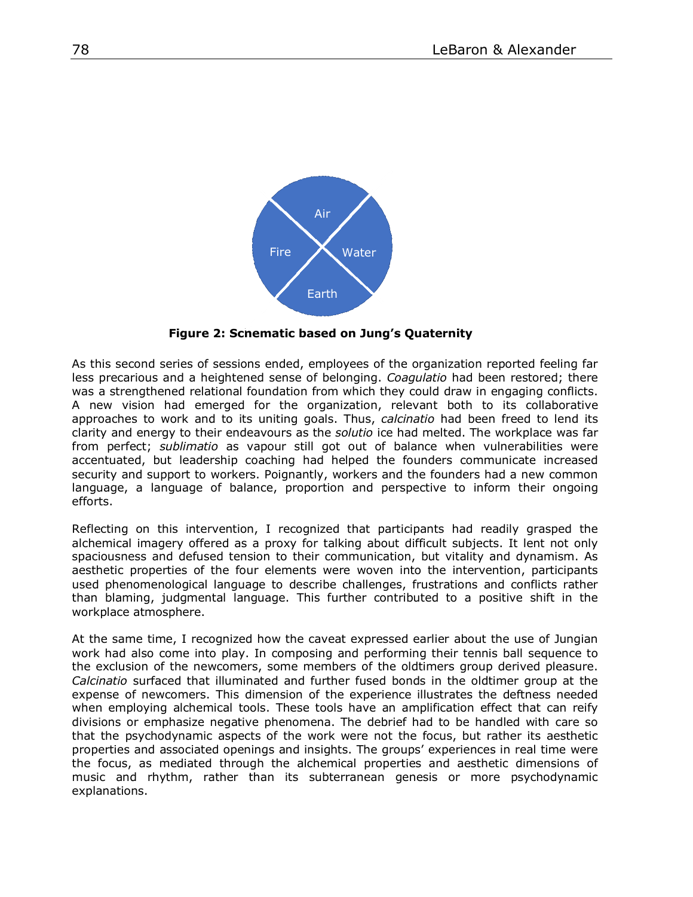

**Figure 2: Schematic based on Jung's Quaternity**

As this second series of sessions ended, employees of the organization reported feeling far less precarious and a heightened sense of belonging. *Coagulatio* had been restored; there was a strengthened relational foundation from which they could draw in engaging conflicts. A new vision had emerged for the organization, relevant both to its collaborative approaches to work and to its uniting goals. Thus, *calcinatio* had been freed to lend its clarity and energy to their endeavours as the *solutio* ice had melted. The workplace was far from perfect; *sublimatio* as vapour still got out of balance when vulnerabilities were accentuated, but leadership coaching had helped the founders communicate increased security and support to workers. Poignantly, workers and the founders had a new common language, a language of balance, proportion and perspective to inform their ongoing efforts.

Reflecting on this intervention, I recognized that participants had readily grasped the alchemical imagery offered as a proxy for talking about difficult subjects. It lent not only spaciousness and defused tension to their communication, but vitality and dynamism. As aesthetic properties of the four elements were woven into the intervention, participants used phenomenological language to describe challenges, frustrations and conflicts rather than blaming, judgmental language. This further contributed to a positive shift in the workplace atmosphere.

At the same time, I recognized how the caveat expressed earlier about the use of Jungian work had also come into play. In composing and performing their tennis ball sequence to the exclusion of the newcomers, some members of the oldtimers group derived pleasure. *Calcinatio* surfaced that illuminated and further fused bonds in the oldtimer group at the expense of newcomers. This dimension of the experience illustrates the deftness needed when employing alchemical tools. These tools have an amplification effect that can reify divisions or emphasize negative phenomena. The debrief had to be handled with care so that the psychodynamic aspects of the work were not the focus, but rather its aesthetic properties and associated openings and insights. The groups' experiences in real time were the focus, as mediated through the alchemical properties and aesthetic dimensions of music and rhythm, rather than its subterranean genesis or more psychodynamic explanations.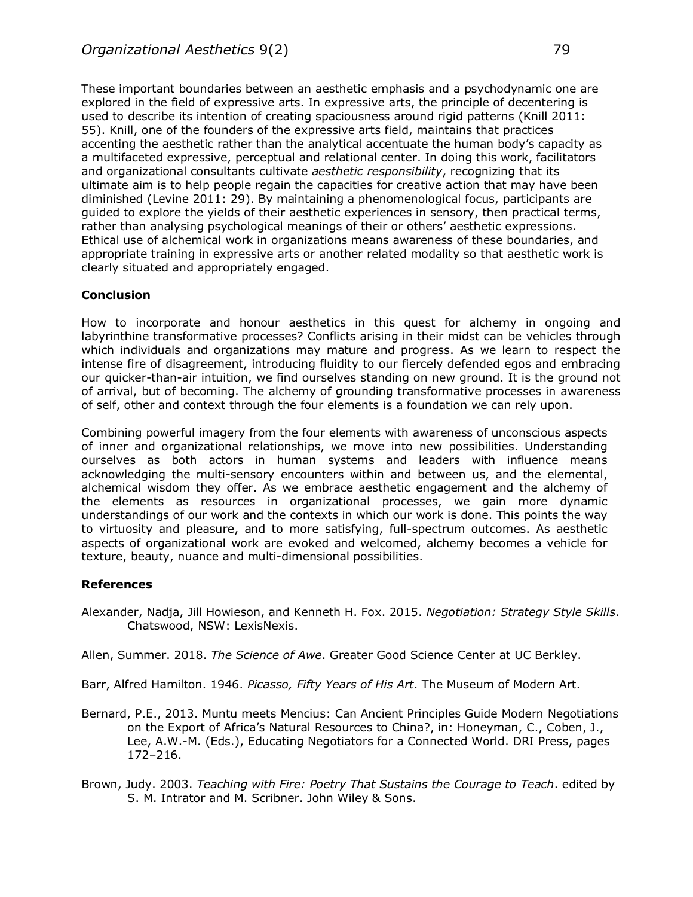These important boundaries between an aesthetic emphasis and a psychodynamic one are explored in the field of expressive arts. In expressive arts, the principle of decentering is used to describe its intention of creating spaciousness around rigid patterns (Knill 2011: 55). Knill, one of the founders of the expressive arts field, maintains that practices accenting the aesthetic rather than the analytical accentuate the human body's capacity as a multifaceted expressive, perceptual and relational center. In doing this work, facilitators and organizational consultants cultivate *aesthetic responsibility*, recognizing that its ultimate aim is to help people regain the capacities for creative action that may have been diminished (Levine 2011: 29). By maintaining a phenomenological focus, participants are guided to explore the yields of their aesthetic experiences in sensory, then practical terms, rather than analysing psychological meanings of their or others' aesthetic expressions. Ethical use of alchemical work in organizations means awareness of these boundaries, and appropriate training in expressive arts or another related modality so that aesthetic work is clearly situated and appropriately engaged.

## **Conclusion**

How to incorporate and honour aesthetics in this quest for alchemy in ongoing and labyrinthine transformative processes? Conflicts arising in their midst can be vehicles through which individuals and organizations may mature and progress. As we learn to respect the intense fire of disagreement, introducing fluidity to our fiercely defended egos and embracing our quicker-than-air intuition, we find ourselves standing on new ground. It is the ground not of arrival, but of becoming. The alchemy of grounding transformative processes in awareness of self, other and context through the four elements is a foundation we can rely upon.

Combining powerful imagery from the four elements with awareness of unconscious aspects of inner and organizational relationships, we move into new possibilities. Understanding ourselves as both actors in human systems and leaders with influence means acknowledging the multi-sensory encounters within and between us, and the elemental, alchemical wisdom they offer. As we embrace aesthetic engagement and the alchemy of the elements as resources in organizational processes, we gain more dynamic understandings of our work and the contexts in which our work is done. This points the way to virtuosity and pleasure, and to more satisfying, full-spectrum outcomes. As aesthetic aspects of organizational work are evoked and welcomed, alchemy becomes a vehicle for texture, beauty, nuance and multi-dimensional possibilities.

## **References**

Alexander, Nadja, Jill Howieson, and Kenneth H. Fox. 2015. *Negotiation: Strategy Style Skills*. Chatswood, NSW: LexisNexis.

Allen, Summer. 2018. *The Science of Awe*. Greater Good Science Center at UC Berkley.

Barr, Alfred Hamilton. 1946. *Picasso, Fifty Years of His Art*. The Museum of Modern Art.

- Bernard, P.E., 2013. Muntu meets Mencius: Can Ancient Principles Guide Modern Negotiations on the Export of Africa's Natural Resources to China?, in: Honeyman, C., Coben, J., Lee, A.W.-M. (Eds.), Educating Negotiators for a Connected World. DRI Press, pages 172–216.
- Brown, Judy. 2003. *Teaching with Fire: Poetry That Sustains the Courage to Teach*. edited by S. M. Intrator and M. Scribner. John Wiley & Sons.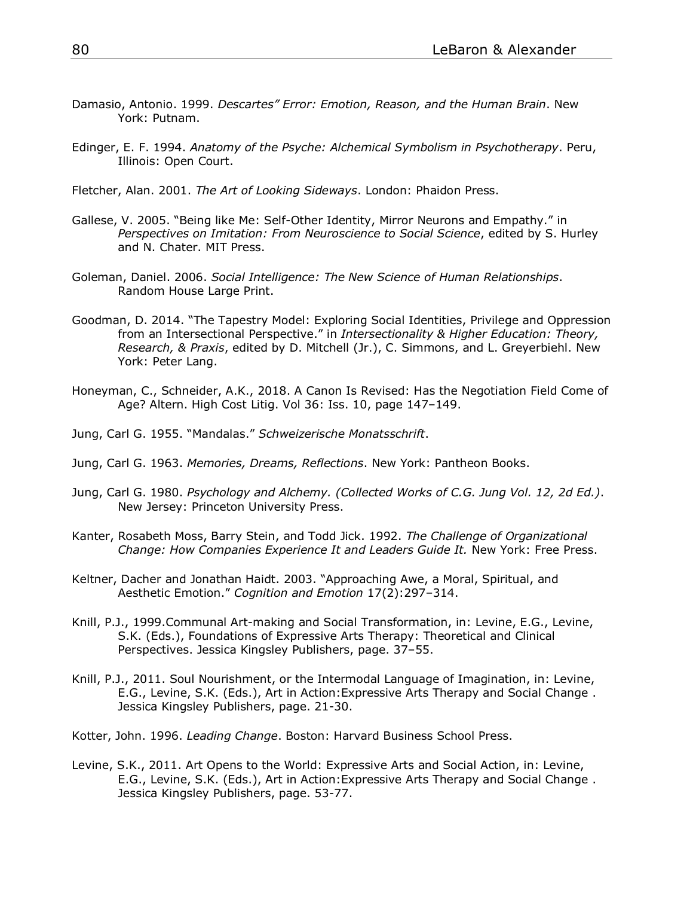- Damasio, Antonio. 1999. *Descartes" Error: Emotion, Reason, and the Human Brain*. New York: Putnam.
- Edinger, E. F. 1994. *Anatomy of the Psyche: Alchemical Symbolism in Psychotherapy*. Peru, Illinois: Open Court.
- Fletcher, Alan. 2001. *The Art of Looking Sideways*. London: Phaidon Press.
- Gallese, V. 2005. "Being like Me: Self-Other Identity, Mirror Neurons and Empathy." in *Perspectives on Imitation: From Neuroscience to Social Science*, edited by S. Hurley and N. Chater. MIT Press.
- Goleman, Daniel. 2006. *Social Intelligence: The New Science of Human Relationships*. Random House Large Print.
- Goodman, D. 2014. "The Tapestry Model: Exploring Social Identities, Privilege and Oppression from an Intersectional Perspective." in *Intersectionality & Higher Education: Theory, Research, & Praxis*, edited by D. Mitchell (Jr.), C. Simmons, and L. Greyerbiehl. New York: Peter Lang.
- Honeyman, C., Schneider, A.K., 2018. A Canon Is Revised: Has the Negotiation Field Come of Age? Altern. High Cost Litig. Vol 36: Iss. 10, page 147–149.
- Jung, Carl G. 1955. "Mandalas." *Schweizerische Monatsschrift*.
- Jung, Carl G. 1963. *Memories, Dreams, Reflections*. New York: Pantheon Books.
- Jung, Carl G. 1980. *Psychology and Alchemy. (Collected Works of C.G. Jung Vol. 12, 2d Ed.)*. New Jersey: Princeton University Press.
- Kanter, Rosabeth Moss, Barry Stein, and Todd Jick. 1992. *The Challenge of Organizational Change: How Companies Experience It and Leaders Guide It.* New York: Free Press.
- Keltner, Dacher and Jonathan Haidt. 2003. "Approaching Awe, a Moral, Spiritual, and Aesthetic Emotion." *Cognition and Emotion* 17(2):297–314.
- Knill, P.J., 1999.Communal Art-making and Social Transformation, in: Levine, E.G., Levine, S.K. (Eds.), Foundations of Expressive Arts Therapy: Theoretical and Clinical Perspectives. Jessica Kingsley Publishers, page. 37–55.
- Knill, P.J., 2011. Soul Nourishment, or the Intermodal Language of Imagination, in: Levine, E.G., Levine, S.K. (Eds.), Art in Action:Expressive Arts Therapy and Social Change . Jessica Kingsley Publishers, page. 21-30.
- Kotter, John. 1996. *Leading Change*. Boston: Harvard Business School Press.
- Levine, S.K., 2011. Art Opens to the World: Expressive Arts and Social Action, in: Levine, E.G., Levine, S.K. (Eds.), Art in Action:Expressive Arts Therapy and Social Change . Jessica Kingsley Publishers, page. 53-77.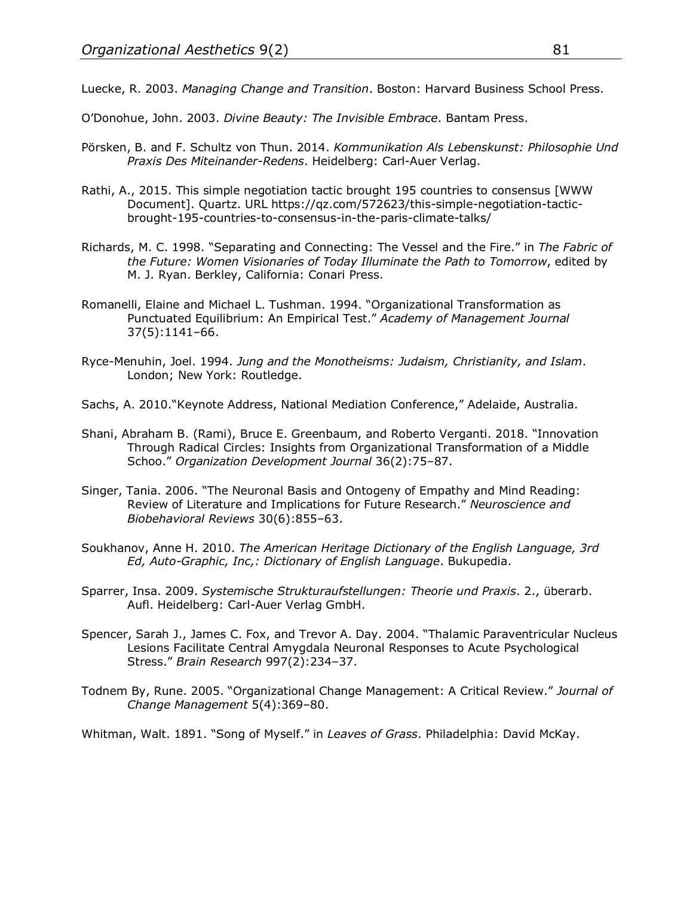Luecke, R. 2003. *Managing Change and Transition*. Boston: Harvard Business School Press.

O'Donohue, John. 2003. *Divine Beauty: The Invisible Embrace*. Bantam Press.

- Pörsken, B. and F. Schultz von Thun. 2014. *Kommunikation Als Lebenskunst: Philosophie Und Praxis Des Miteinander-Redens*. Heidelberg: Carl-Auer Verlag.
- Rathi, A., 2015. This simple negotiation tactic brought 195 countries to consensus [WWW Document]. Quartz. URL https://qz.com/572623/this-simple-negotiation-tacticbrought-195-countries-to-consensus-in-the-paris-climate-talks/
- Richards, M. C. 1998. "Separating and Connecting: The Vessel and the Fire." in *The Fabric of the Future: Women Visionaries of Today Illuminate the Path to Tomorrow*, edited by M. J. Ryan. Berkley, California: Conari Press.
- Romanelli, Elaine and Michael L. Tushman. 1994. "Organizational Transformation as Punctuated Equilibrium: An Empirical Test." *Academy of Management Journal* 37(5):1141–66.
- Ryce-Menuhin, Joel. 1994. *Jung and the Monotheisms: Judaism, Christianity, and Islam*. London; New York: Routledge.
- Sachs, A. 2010."Keynote Address, National Mediation Conference," Adelaide, Australia.
- Shani, Abraham B. (Rami), Bruce E. Greenbaum, and Roberto Verganti. 2018. "Innovation Through Radical Circles: Insights from Organizational Transformation of a Middle Schoo." *Organization Development Journal* 36(2):75–87.
- Singer, Tania. 2006. "The Neuronal Basis and Ontogeny of Empathy and Mind Reading: Review of Literature and Implications for Future Research." *Neuroscience and Biobehavioral Reviews* 30(6):855–63.
- Soukhanov, Anne H. 2010. *The American Heritage Dictionary of the English Language, 3rd Ed, Auto-Graphic, Inc,: Dictionary of English Language*. Bukupedia.
- Sparrer, Insa. 2009. *Systemische Strukturaufstellungen: Theorie und Praxis*. 2., überarb. Aufl. Heidelberg: Carl-Auer Verlag GmbH.
- Spencer, Sarah J., James C. Fox, and Trevor A. Day. 2004. "Thalamic Paraventricular Nucleus Lesions Facilitate Central Amygdala Neuronal Responses to Acute Psychological Stress." *Brain Research* 997(2):234–37.
- Todnem By, Rune. 2005. "Organizational Change Management: A Critical Review." *Journal of Change Management* 5(4):369–80.

Whitman, Walt. 1891. "Song of Myself." in *Leaves of Grass*. Philadelphia: David McKay.